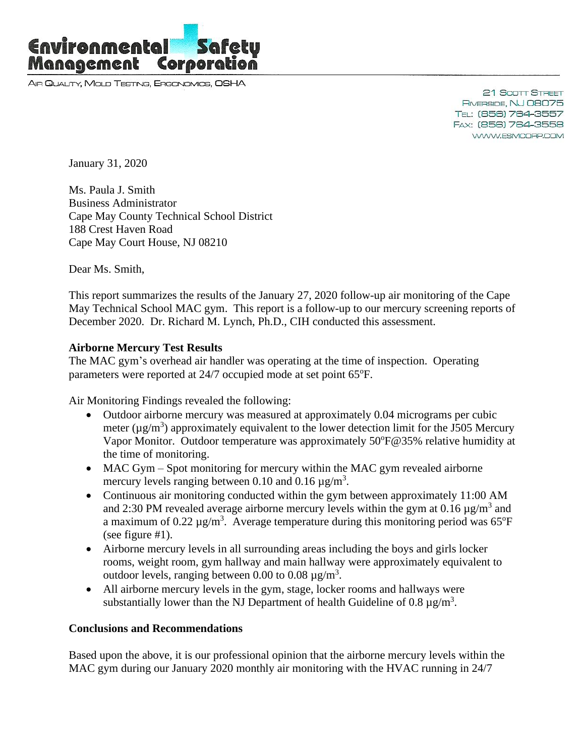

AIR QUALITY, MOLD TESTING, ERGONOMICS, OSHA

21 Scott Street RIVERSIDE, NJ 08075 TEL: (856) 764-3557 FAX: (856) 764-3558 WWW.ESMCORP.COM

January 31, 2020

Ms. Paula J. Smith Business Administrator Cape May County Technical School District 188 Crest Haven Road Cape May Court House, NJ 08210

Dear Ms. Smith,

This report summarizes the results of the January 27, 2020 follow-up air monitoring of the Cape May Technical School MAC gym. This report is a follow-up to our mercury screening reports of December 2020. Dr. Richard M. Lynch, Ph.D., CIH conducted this assessment.

## **Airborne Mercury Test Results**

The MAC gym's overhead air handler was operating at the time of inspection. Operating parameters were reported at 24/7 occupied mode at set point 65°F.

Air Monitoring Findings revealed the following:

- Outdoor airborne mercury was measured at approximately 0.04 micrograms per cubic meter ( $\mu$ g/m<sup>3</sup>) approximately equivalent to the lower detection limit for the J505 Mercury Vapor Monitor. Outdoor temperature was approximately 50°F@35% relative humidity at the time of monitoring.
- MAC Gym Spot monitoring for mercury within the MAC gym revealed airborne mercury levels ranging between 0.10 and 0.16  $\mu$ g/m<sup>3</sup>.
- Continuous air monitoring conducted within the gym between approximately 11:00 AM and 2:30 PM revealed average airborne mercury levels within the gym at  $0.16 \mu g/m^3$  and a maximum of  $0.22 \mu g/m^3$ . Average temperature during this monitoring period was 65°F (see figure #1).
- Airborne mercury levels in all surrounding areas including the boys and girls locker rooms, weight room, gym hallway and main hallway were approximately equivalent to outdoor levels, ranging between 0.00 to 0.08  $\mu$ g/m<sup>3</sup>.
- All airborne mercury levels in the gym, stage, locker rooms and hallways were substantially lower than the NJ Department of health Guideline of 0.8  $\mu$ g/m<sup>3</sup>.

## **Conclusions and Recommendations**

Based upon the above, it is our professional opinion that the airborne mercury levels within the MAC gym during our January 2020 monthly air monitoring with the HVAC running in 24/7